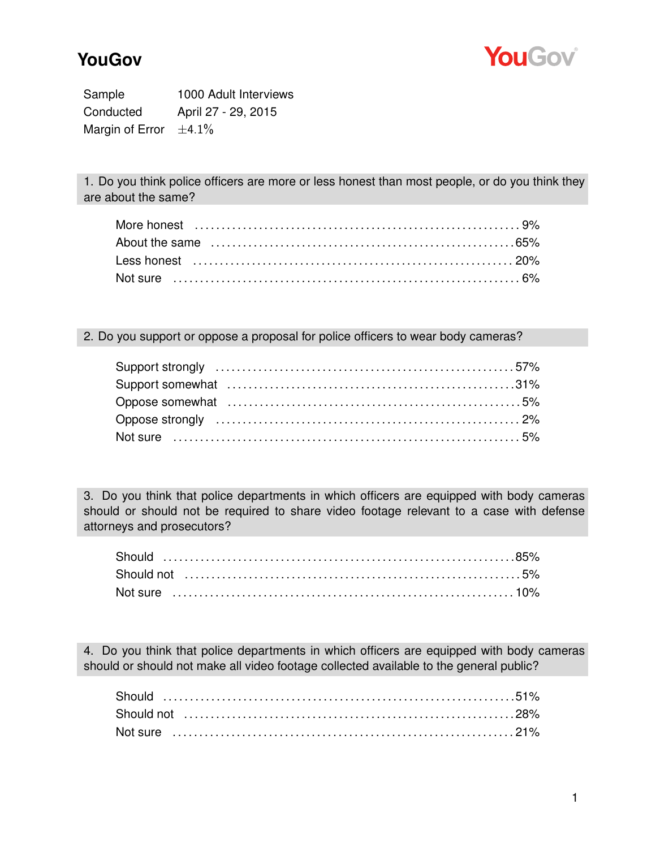

## **YouGov**

Sample 1000 Adult Interviews Conducted April 27 - 29, 2015 Margin of Error  $\pm 4.1\%$ 

1. Do you think police officers are more or less honest than most people, or do you think they are about the same?

## 2. Do you support or oppose a proposal for police officers to wear body cameras?

3. Do you think that police departments in which officers are equipped with body cameras should or should not be required to share video footage relevant to a case with defense attorneys and prosecutors?

4. Do you think that police departments in which officers are equipped with body cameras should or should not make all video footage collected available to the general public?